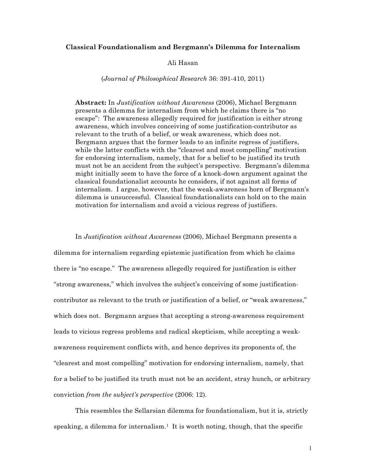### **Classical Foundationalism and Bergmann's Dilemma for Internalism**

### Ali Hasan

### (*Journal of Philosophical Research* 36: 391-410, 2011)

**Abstract:** In *Justification without Awareness* (2006), Michael Bergmann presents a dilemma for internalism from which he claims there is "no escape": The awareness allegedly required for justification is either strong awareness, which involves conceiving of some justification-contributor as relevant to the truth of a belief, or weak awareness, which does not. Bergmann argues that the former leads to an infinite regress of justifiers, while the latter conflicts with the "clearest and most compelling" motivation for endorsing internalism, namely, that for a belief to be justified its truth must not be an accident from the subject's perspective. Bergmann's dilemma might initially seem to have the force of a knock-down argument against the classical foundationalist accounts he considers, if not against all forms of internalism. I argue, however, that the weak-awareness horn of Bergmann's dilemma is unsuccessful. Classical foundationalists can hold on to the main motivation for internalism and avoid a vicious regress of justifiers.

In *Justification without Awareness* (2006), Michael Bergmann presents a dilemma for internalism regarding epistemic justification from which he claims there is "no escape." The awareness allegedly required for justification is either "strong awareness," which involves the subject's conceiving of some justificationcontributor as relevant to the truth or justification of a belief, or "weak awareness," which does not. Bergmann argues that accepting a strong-awareness requirement leads to vicious regress problems and radical skepticism, while accepting a weakawareness requirement conflicts with, and hence deprives its proponents of, the "clearest and most compelling" motivation for endorsing internalism, namely, that for a belief to be justified its truth must not be an accident, stray hunch, or arbitrary conviction *from the subject's perspective* (2006: 12).

This resembles the Sellarsian dilemma for foundationalism, but it is, strictly speaking, a dilemma for internalism.<sup>1</sup> It is worth noting, though, that the specific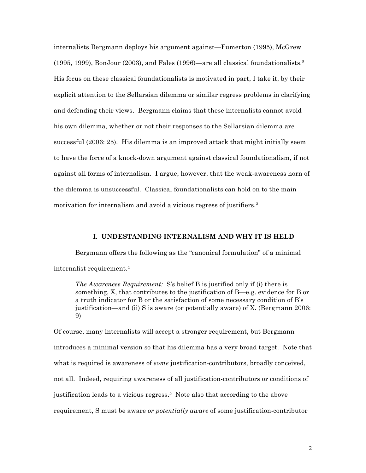internalists Bergmann deploys his argument against—Fumerton (1995), McGrew (1995, 1999), BonJour (2003), and Fales (1996)—are all classical foundationalists.2 His focus on these classical foundationalists is motivated in part, I take it, by their explicit attention to the Sellarsian dilemma or similar regress problems in clarifying and defending their views. Bergmann claims that these internalists cannot avoid his own dilemma, whether or not their responses to the Sellarsian dilemma are successful (2006: 25). His dilemma is an improved attack that might initially seem to have the force of a knock-down argument against classical foundationalism, if not against all forms of internalism. I argue, however, that the weak-awareness horn of the dilemma is unsuccessful. Classical foundationalists can hold on to the main motivation for internalism and avoid a vicious regress of justifiers.<sup>3</sup>

# **I. UNDESTANDING INTERNALISM AND WHY IT IS HELD**

Bergmann offers the following as the "canonical formulation" of a minimal internalist requirement.4

*The Awareness Requirement:* S's belief B is justified only if (i) there is something, X, that contributes to the justification of B—e.g. evidence for B or a truth indicator for B or the satisfaction of some necessary condition of B's justification—and (ii) S is aware (or potentially aware) of X. (Bergmann 2006: 9)

Of course, many internalists will accept a stronger requirement, but Bergmann introduces a minimal version so that his dilemma has a very broad target. Note that what is required is awareness of *some* justification-contributors, broadly conceived, not all. Indeed, requiring awareness of all justification-contributors or conditions of justification leads to a vicious regress.5 Note also that according to the above requirement, S must be aware *or potentially aware* of some justification-contributor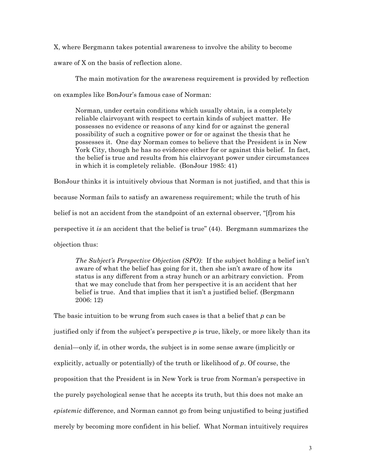X, where Bergmann takes potential awareness to involve the ability to become

aware of X on the basis of reflection alone.

The main motivation for the awareness requirement is provided by reflection

on examples like BonJour's famous case of Norman:

Norman, under certain conditions which usually obtain, is a completely reliable clairvoyant with respect to certain kinds of subject matter. He possesses no evidence or reasons of any kind for or against the general possibility of such a cognitive power or for or against the thesis that he possesses it. One day Norman comes to believe that the President is in New York City, though he has no evidence either for or against this belief. In fact, the belief is true and results from his clairvoyant power under circumstances in which it is completely reliable. (BonJour 1985: 41)

BonJour thinks it is intuitively obvious that Norman is not justified, and that this is because Norman fails to satisfy an awareness requirement; while the truth of his belief is not an accident from the standpoint of an external observer, "[f]rom his perspective it *is* an accident that the belief is true" (44). Bergmann summarizes the objection thus:

*The Subject's Perspective Objection (SPO)*: If the subject holding a belief isn't aware of what the belief has going for it, then she isn't aware of how its status is any different from a stray hunch or an arbitrary conviction. From that we may conclude that from her perspective it is an accident that her belief is true. And that implies that it isn't a justified belief. (Bergmann 2006: 12)

The basic intuition to be wrung from such cases is that a belief that *p* can be justified only if from the subject's perspective  $p$  is true, likely, or more likely than its denial—only if, in other words, the subject is in some sense aware (implicitly or explicitly, actually or potentially) of the truth or likelihood of *p*. Of course, the proposition that the President is in New York is true from Norman's perspective in the purely psychological sense that he accepts its truth, but this does not make an *epistemic* difference, and Norman cannot go from being unjustified to being justified merely by becoming more confident in his belief. What Norman intuitively requires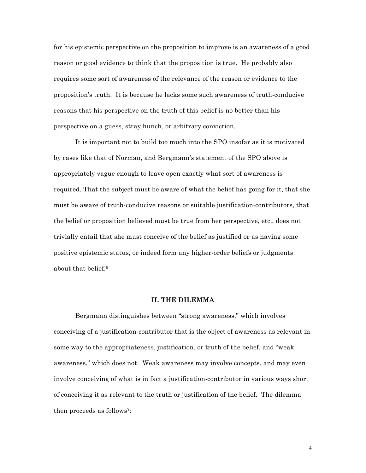for his epistemic perspective on the proposition to improve is an awareness of a good reason or good evidence to think that the proposition is true. He probably also requires some sort of awareness of the relevance of the reason or evidence to the proposition's truth. It is because he lacks some such awareness of truth-conducive reasons that his perspective on the truth of this belief is no better than his perspective on a guess, stray hunch, or arbitrary conviction.

It is important not to build too much into the SPO insofar as it is motivated by cases like that of Norman, and Bergmann's statement of the SPO above is appropriately vague enough to leave open exactly what sort of awareness is required. That the subject must be aware of what the belief has going for it, that she must be aware of truth-conducive reasons or suitable justification-contributors, that the belief or proposition believed must be true from her perspective, etc., does not trivially entail that she must conceive of the belief as justified or as having some positive epistemic status, or indeed form any higher-order beliefs or judgments about that belief.6

### **II. THE DILEMMA**

Bergmann distinguishes between "strong awareness," which involves conceiving of a justification-contributor that is the object of awareness as relevant in some way to the appropriateness, justification, or truth of the belief, and "weak awareness," which does not. Weak awareness may involve concepts, and may even involve conceiving of what is in fact a justification-contributor in various ways short of conceiving it as relevant to the truth or justification of the belief. The dilemma then proceeds as follows7: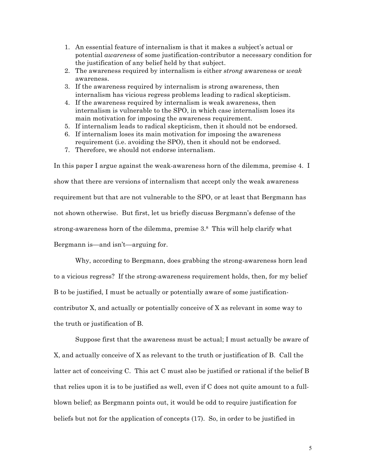- 1. An essential feature of internalism is that it makes a subject's actual or potential *awareness* of some justification-contributor a necessary condition for the justification of any belief held by that subject.
- 2. The awareness required by internalism is either *strong* awareness or *weak* awareness.
- 3. If the awareness required by internalism is strong awareness, then internalism has vicious regress problems leading to radical skepticism.
- 4. If the awareness required by internalism is weak awareness, then internalism is vulnerable to the SPO, in which case internalism loses its main motivation for imposing the awareness requirement.
- 5. If internalism leads to radical skepticism, then it should not be endorsed.
- 6. If internalism loses its main motivation for imposing the awareness requirement (i.e. avoiding the SPO), then it should not be endorsed.
- 7. Therefore, we should not endorse internalism.

In this paper I argue against the weak-awareness horn of the dilemma, premise 4. I show that there are versions of internalism that accept only the weak awareness requirement but that are not vulnerable to the SPO, or at least that Bergmann has not shown otherwise. But first, let us briefly discuss Bergmann's defense of the strong-awareness horn of the dilemma, premise 3.8 This will help clarify what Bergmann is—and isn't—arguing for.

Why, according to Bergmann, does grabbing the strong-awareness horn lead to a vicious regress? If the strong-awareness requirement holds, then, for my belief B to be justified, I must be actually or potentially aware of some justificationcontributor X, and actually or potentially conceive of X as relevant in some way to the truth or justification of B.

Suppose first that the awareness must be actual; I must actually be aware of X, and actually conceive of X as relevant to the truth or justification of B. Call the latter act of conceiving C. This act C must also be justified or rational if the belief B that relies upon it is to be justified as well, even if C does not quite amount to a fullblown belief; as Bergmann points out, it would be odd to require justification for beliefs but not for the application of concepts (17). So, in order to be justified in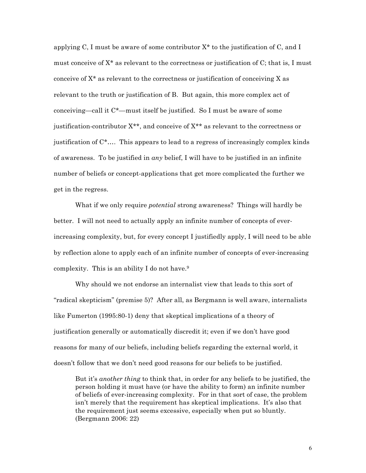applying C, I must be aware of some contributor  $X^*$  to the justification of C, and I must conceive of X\* as relevant to the correctness or justification of C; that is, I must conceive of  $X^*$  as relevant to the correctness or justification of conceiving X as relevant to the truth or justification of B. But again, this more complex act of conceiving—call it C\*—must itself be justified. So I must be aware of some justification-contributor  $X^{**}$ , and conceive of  $X^{**}$  as relevant to the correctness or justification of C\*…. This appears to lead to a regress of increasingly complex kinds of awareness. To be justified in *any* belief, I will have to be justified in an infinite number of beliefs or concept-applications that get more complicated the further we get in the regress.

What if we only require *potential* strong awareness? Things will hardly be better. I will not need to actually apply an infinite number of concepts of everincreasing complexity, but, for every concept I justifiedly apply, I will need to be able by reflection alone to apply each of an infinite number of concepts of ever-increasing complexity. This is an ability I do not have.<sup>9</sup>

Why should we not endorse an internalist view that leads to this sort of "radical skepticism" (premise 5)? After all, as Bergmann is well aware, internalists like Fumerton (1995:80-1) deny that skeptical implications of a theory of justification generally or automatically discredit it; even if we don't have good reasons for many of our beliefs, including beliefs regarding the external world, it doesn't follow that we don't need good reasons for our beliefs to be justified.

But it's *another thing* to think that, in order for any beliefs to be justified, the person holding it must have (or have the ability to form) an infinite number of beliefs of ever-increasing complexity. For in that sort of case, the problem isn't merely that the requirement has skeptical implications. It's also that the requirement just seems excessive, especially when put so bluntly. (Bergmann 2006: 22)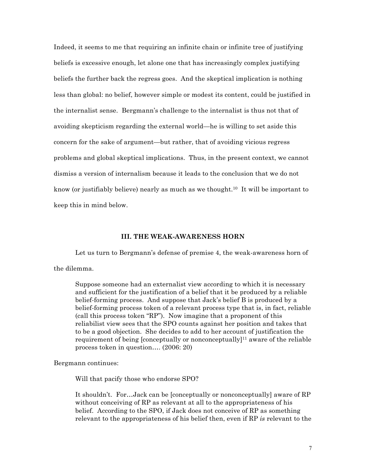Indeed, it seems to me that requiring an infinite chain or infinite tree of justifying beliefs is excessive enough, let alone one that has increasingly complex justifying beliefs the further back the regress goes. And the skeptical implication is nothing less than global: no belief, however simple or modest its content, could be justified in the internalist sense. Bergmann's challenge to the internalist is thus not that of avoiding skepticism regarding the external world—he is willing to set aside this concern for the sake of argument—but rather, that of avoiding vicious regress problems and global skeptical implications. Thus, in the present context, we cannot dismiss a version of internalism because it leads to the conclusion that we do not know (or justifiably believe) nearly as much as we thought.10 It will be important to keep this in mind below.

# **III. THE WEAK-AWARENESS HORN**

Let us turn to Bergmann's defense of premise 4, the weak-awareness horn of the dilemma.

Suppose someone had an externalist view according to which it is necessary and sufficient for the justification of a belief that it be produced by a reliable belief-forming process. And suppose that Jack's belief B is produced by a belief-forming process token of a relevant process type that is, in fact, reliable (call this process token "RP"). Now imagine that a proponent of this reliabilist view sees that the SPO counts against her position and takes that to be a good objection. She decides to add to her account of justification the requirement of being [conceptually or nonconceptually]<sup>11</sup> aware of the reliable process token in question…. (2006: 20)

Bergmann continues:

Will that pacify those who endorse SPO?

It shouldn't. For…Jack can be [conceptually or nonconceptually] aware of RP without conceiving of RP as relevant at all to the appropriateness of his belief. According to the SPO, if Jack does not conceive of RP as something relevant to the appropriateness of his belief then, even if RP *is* relevant to the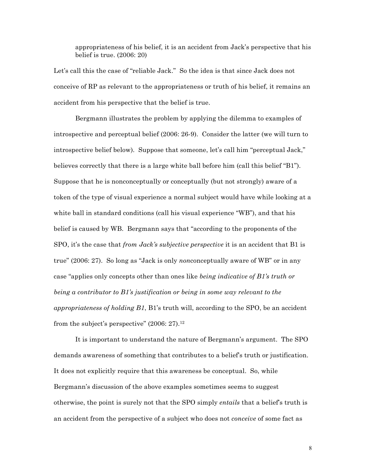appropriateness of his belief, it is an accident from Jack's perspective that his belief is true. (2006: 20)

Let's call this the case of "reliable Jack." So the idea is that since Jack does not conceive of RP as relevant to the appropriateness or truth of his belief, it remains an accident from his perspective that the belief is true.

Bergmann illustrates the problem by applying the dilemma to examples of introspective and perceptual belief (2006: 26-9). Consider the latter (we will turn to introspective belief below). Suppose that someone, let's call him "perceptual Jack," believes correctly that there is a large white ball before him (call this belief "B1"). Suppose that he is nonconceptually or conceptually (but not strongly) aware of a token of the type of visual experience a normal subject would have while looking at a white ball in standard conditions (call his visual experience "WB"), and that his belief is caused by WB. Bergmann says that "according to the proponents of the SPO, it's the case that *from Jack's subjective perspective* it is an accident that B1 is true" (2006: 27). So long as "Jack is only *non*conceptually aware of WB" or in any case "applies only concepts other than ones like *being indicative of B1's truth or being a contributor to B1's justification or being in some way relevant to the appropriateness of holding B1*, B1's truth will, according to the SPO, be an accident from the subject's perspective"  $(2006: 27).<sup>12</sup>$ 

It is important to understand the nature of Bergmann's argument. The SPO demands awareness of something that contributes to a belief's truth or justification. It does not explicitly require that this awareness be conceptual. So, while Bergmann's discussion of the above examples sometimes seems to suggest otherwise, the point is surely not that the SPO simply *entails* that a belief's truth is an accident from the perspective of a subject who does not *conceive* of some fact as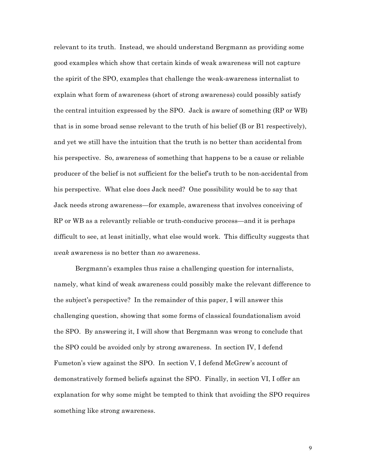relevant to its truth. Instead, we should understand Bergmann as providing some good examples which show that certain kinds of weak awareness will not capture the spirit of the SPO, examples that challenge the weak-awareness internalist to explain what form of awareness (short of strong awareness) could possibly satisfy the central intuition expressed by the SPO. Jack is aware of something (RP or WB) that is in some broad sense relevant to the truth of his belief (B or B1 respectively), and yet we still have the intuition that the truth is no better than accidental from his perspective. So, awareness of something that happens to be a cause or reliable producer of the belief is not sufficient for the belief's truth to be non-accidental from his perspective. What else does Jack need? One possibility would be to say that Jack needs strong awareness—for example, awareness that involves conceiving of RP or WB as a relevantly reliable or truth-conducive process—and it is perhaps difficult to see, at least initially, what else would work. This difficulty suggests that *weak* awareness is no better than *no* awareness.

Bergmann's examples thus raise a challenging question for internalists, namely, what kind of weak awareness could possibly make the relevant difference to the subject's perspective? In the remainder of this paper, I will answer this challenging question, showing that some forms of classical foundationalism avoid the SPO. By answering it, I will show that Bergmann was wrong to conclude that the SPO could be avoided only by strong awareness. In section IV, I defend Fumeton's view against the SPO. In section V, I defend McGrew's account of demonstratively formed beliefs against the SPO. Finally, in section VI, I offer an explanation for why some might be tempted to think that avoiding the SPO requires something like strong awareness.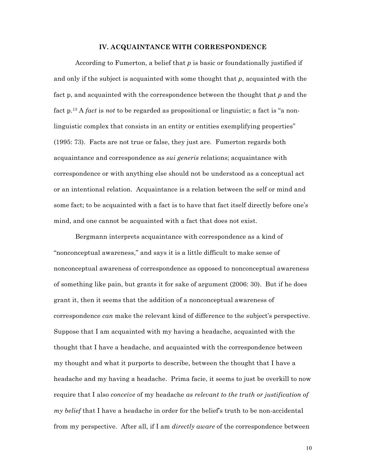## **IV. ACQUAINTANCE WITH CORRESPONDENCE**

According to Fumerton, a belief that *p* is basic or foundationally justified if and only if the subject is acquainted with some thought that *p*, acquainted with the fact p, and acquainted with the correspondence between the thought that *p* and the fact p.13 A *fact* is *not* to be regarded as propositional or linguistic; a fact is "a nonlinguistic complex that consists in an entity or entities exemplifying properties" (1995: 73). Facts are not true or false, they just are. Fumerton regards both acquaintance and correspondence as *sui generis* relations; acquaintance with correspondence or with anything else should not be understood as a conceptual act or an intentional relation. Acquaintance is a relation between the self or mind and some fact; to be acquainted with a fact is to have that fact itself directly before one's mind, and one cannot be acquainted with a fact that does not exist.

Bergmann interprets acquaintance with correspondence as a kind of "nonconceptual awareness," and says it is a little difficult to make sense of nonconceptual awareness of correspondence as opposed to nonconceptual awareness of something like pain, but grants it for sake of argument (2006: 30). But if he does grant it, then it seems that the addition of a nonconceptual awareness of correspondence *can* make the relevant kind of difference to the subject's perspective. Suppose that I am acquainted with my having a headache, acquainted with the thought that I have a headache, and acquainted with the correspondence between my thought and what it purports to describe, between the thought that I have a headache and my having a headache. Prima facie, it seems to just be overkill to now require that I also *conceive* of my headache *as relevant to the truth or justification of my belief* that I have a headache in order for the belief's truth to be non-accidental from my perspective. After all, if I am *directly aware* of the correspondence between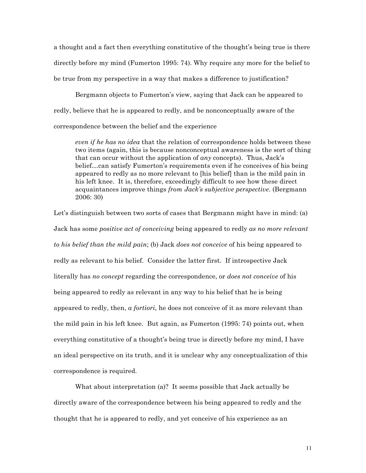a thought and a fact then everything constitutive of the thought's being true is there directly before my mind (Fumerton 1995: 74). Why require any more for the belief to be true from my perspective in a way that makes a difference to justification?

Bergmann objects to Fumerton's view, saying that Jack can be appeared to redly, believe that he is appeared to redly, and be nonconceptually aware of the correspondence between the belief and the experience

*even if he has no idea* that the relation of correspondence holds between these two items (again, this is because nonconceptual awareness is the sort of thing that can occur without the application of *any* concepts). Thus, Jack's belief…can satisfy Fumerton's requirements even if he conceives of his being appeared to redly as no more relevant to [his belief] than is the mild pain in his left knee. It is, therefore, exceedingly difficult to see how these direct acquaintances improve things *from Jack's subjective perspective*. (Bergmann 2006: 30)

Let's distinguish between two sorts of cases that Bergmann might have in mind: (a) Jack has some *positive act of conceiving* being appeared to redly *as no more relevant to his belief than the mild pain*; (b) Jack *does not conceive* of his being appeared to redly as relevant to his belief. Consider the latter first. If introspective Jack literally has *no concept* regarding the correspondence, or *does not conceive* of his being appeared to redly as relevant in any way to his belief that he is being appeared to redly, then, *a fortiori*, he does not conceive of it as more relevant than the mild pain in his left knee. But again, as Fumerton (1995: 74) points out, when everything constitutive of a thought's being true is directly before my mind, I have an ideal perspective on its truth, and it is unclear why any conceptualization of this correspondence is required.

What about interpretation (a)? It seems possible that Jack actually be directly aware of the correspondence between his being appeared to redly and the thought that he is appeared to redly, and yet conceive of his experience as an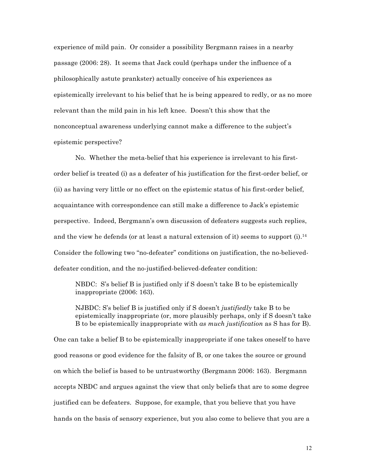experience of mild pain. Or consider a possibility Bergmann raises in a nearby passage (2006: 28). It seems that Jack could (perhaps under the influence of a philosophically astute prankster) actually conceive of his experiences as epistemically irrelevant to his belief that he is being appeared to redly, or as no more relevant than the mild pain in his left knee. Doesn't this show that the nonconceptual awareness underlying cannot make a difference to the subject's epistemic perspective?

No. Whether the meta-belief that his experience is irrelevant to his firstorder belief is treated (i) as a defeater of his justification for the first-order belief, or (ii) as having very little or no effect on the epistemic status of his first-order belief, acquaintance with correspondence can still make a difference to Jack's epistemic perspective. Indeed, Bergmann's own discussion of defeaters suggests such replies, and the view he defends (or at least a natural extension of it) seems to support  $(i)$ .<sup>14</sup> Consider the following two "no-defeater" conditions on justification, the no-believeddefeater condition, and the no-justified-believed-defeater condition:

NBDC: S's belief B is justified only if S doesn't take B to be epistemically inappropriate (2006: 163).

NJBDC: S's belief B is justified only if S doesn't *justifiedly* take B to be epistemically inappropriate (or, more plausibly perhaps, only if S doesn't take B to be epistemically inappropriate with *as much justification* as S has for B).

One can take a belief B to be epistemically inappropriate if one takes oneself to have good reasons or good evidence for the falsity of B, or one takes the source or ground on which the belief is based to be untrustworthy (Bergmann 2006: 163). Bergmann accepts NBDC and argues against the view that only beliefs that are to some degree justified can be defeaters. Suppose, for example, that you believe that you have hands on the basis of sensory experience, but you also come to believe that you are a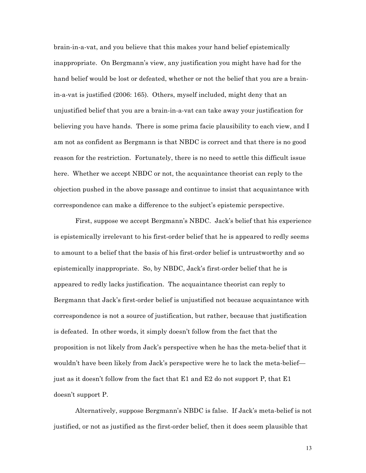brain-in-a-vat, and you believe that this makes your hand belief epistemically inappropriate. On Bergmann's view, any justification you might have had for the hand belief would be lost or defeated, whether or not the belief that you are a brainin-a-vat is justified (2006: 165). Others, myself included, might deny that an unjustified belief that you are a brain-in-a-vat can take away your justification for believing you have hands. There is some prima facie plausibility to each view, and I am not as confident as Bergmann is that NBDC is correct and that there is no good reason for the restriction. Fortunately, there is no need to settle this difficult issue here. Whether we accept NBDC or not, the acquaintance theorist can reply to the objection pushed in the above passage and continue to insist that acquaintance with correspondence can make a difference to the subject's epistemic perspective.

First, suppose we accept Bergmann's NBDC. Jack's belief that his experience is epistemically irrelevant to his first-order belief that he is appeared to redly seems to amount to a belief that the basis of his first-order belief is untrustworthy and so epistemically inappropriate. So, by NBDC, Jack's first-order belief that he is appeared to redly lacks justification. The acquaintance theorist can reply to Bergmann that Jack's first-order belief is unjustified not because acquaintance with correspondence is not a source of justification, but rather, because that justification is defeated. In other words, it simply doesn't follow from the fact that the proposition is not likely from Jack's perspective when he has the meta-belief that it wouldn't have been likely from Jack's perspective were he to lack the meta-belief just as it doesn't follow from the fact that E1 and E2 do not support P, that E1 doesn't support P.

Alternatively, suppose Bergmann's NBDC is false. If Jack's meta-belief is not justified, or not as justified as the first-order belief, then it does seem plausible that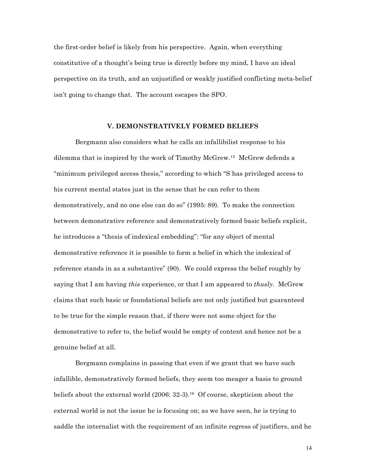the first-order belief is likely from his perspective. Again, when everything constitutive of a thought's being true is directly before my mind, I have an ideal perspective on its truth, and an unjustified or weakly justified conflicting meta-belief isn't going to change that. The account escapes the SPO.

### **V. DEMONSTRATIVELY FORMED BELIEFS**

Bergmann also considers what he calls an infallibilist response to his dilemma that is inspired by the work of Timothy McGrew.15 McGrew defends a "minimum privileged access thesis," according to which "S has privileged access to his current mental states just in the sense that he can refer to them demonstratively, and no one else can do so" (1995: 89). To make the connection between demonstrative reference and demonstratively formed basic beliefs explicit, he introduces a "thesis of indexical embedding": "for any object of mental demonstrative reference it is possible to form a belief in which the indexical of reference stands in as a substantive" (90). We could express the belief roughly by saying that I am having *this* experience, or that I am appeared to *thusly*. McGrew claims that such basic or foundational beliefs are not only justified but guaranteed to be true for the simple reason that, if there were not some object for the demonstrative to refer to, the belief would be empty of content and hence not be a genuine belief at all.

Bergmann complains in passing that even if we grant that we have such infallible, demonstratively formed beliefs, they seem too meager a basis to ground beliefs about the external world  $(2006: 32-3).$ <sup>16</sup> Of course, skepticism about the external world is not the issue he is focusing on; as we have seen, he is trying to saddle the internalist with the requirement of an infinite regress of justifiers, and he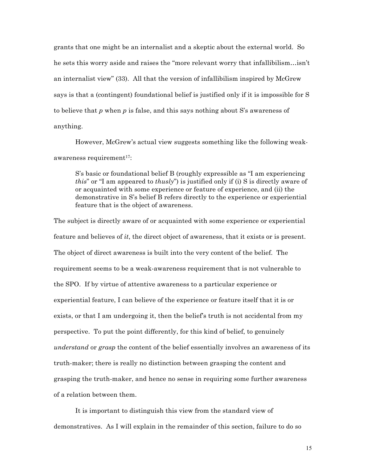grants that one might be an internalist and a skeptic about the external world. So he sets this worry aside and raises the "more relevant worry that infallibilism…isn't an internalist view" (33). All that the version of infallibilism inspired by McGrew says is that a (contingent) foundational belief is justified only if it is impossible for S to believe that *p* when *p* is false, and this says nothing about S's awareness of anything.

However, McGrew's actual view suggests something like the following weakawareness requirement $17$ :

S's basic or foundational belief B (roughly expressible as "I am experiencing *this*" or "I am appeared to *thusly*") is justified only if (i) S is directly aware of or acquainted with some experience or feature of experience, and (ii) the demonstrative in S's belief B refers directly to the experience or experiential feature that is the object of awareness.

The subject is directly aware of or acquainted with some experience or experiential feature and believes of *it*, the direct object of awareness, that it exists or is present. The object of direct awareness is built into the very content of the belief. The requirement seems to be a weak-awareness requirement that is not vulnerable to the SPO. If by virtue of attentive awareness to a particular experience or experiential feature, I can believe of the experience or feature itself that it is or exists, or that I am undergoing it, then the belief's truth is not accidental from my perspective. To put the point differently, for this kind of belief, to genuinely *understand* or *grasp* the content of the belief essentially involves an awareness of its truth-maker; there is really no distinction between grasping the content and grasping the truth-maker, and hence no sense in requiring some further awareness of a relation between them.

It is important to distinguish this view from the standard view of demonstratives. As I will explain in the remainder of this section, failure to do so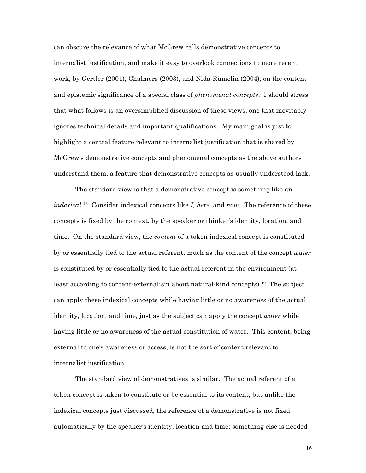can obscure the relevance of what McGrew calls demonstrative concepts to internalist justification, and make it easy to overlook connections to more recent work, by Gertler (2001), Chalmers (2003), and Nida-Rümelin (2004), on the content and epistemic significance of a special class of *phenomenal concepts*. I should stress that what follows is an oversimplified discussion of these views, one that inevitably ignores technical details and important qualifications. My main goal is just to highlight a central feature relevant to internalist justification that is shared by McGrew's demonstrative concepts and phenomenal concepts as the above authors understand them, a feature that demonstrative concepts as usually understood lack.

The standard view is that a demonstrative concept is something like an *indexical*. 18 Consider indexical concepts like *I, here,* and *now*. The reference of these concepts is fixed by the context, by the speaker or thinker's identity, location, and time. On the standard view, the *content* of a token indexical concept is constituted by or essentially tied to the actual referent, much as the content of the concept *water* is constituted by or essentially tied to the actual referent in the environment (at least according to content-externalism about natural-kind concepts).19 The subject can apply these indexical concepts while having little or no awareness of the actual identity, location, and time, just as the subject can apply the concept *water* while having little or no awareness of the actual constitution of water. This content, being external to one's awareness or access, is not the sort of content relevant to internalist justification.

The standard view of demonstratives is similar. The actual referent of a token concept is taken to constitute or be essential to its content, but unlike the indexical concepts just discussed, the reference of a demonstrative is not fixed automatically by the speaker's identity, location and time; something else is needed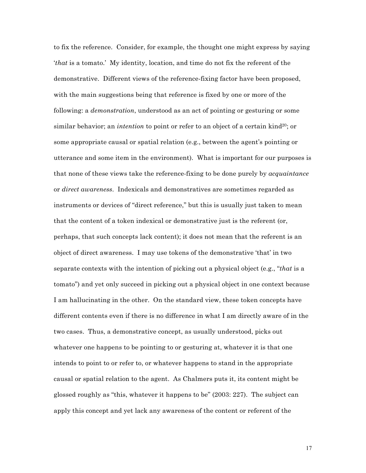to fix the reference. Consider, for example, the thought one might express by saying '*that* is a tomato.' My identity, location, and time do not fix the referent of the demonstrative. Different views of the reference-fixing factor have been proposed, with the main suggestions being that reference is fixed by one or more of the following: a *demonstration*, understood as an act of pointing or gesturing or some similar behavior; an *intention* to point or refer to an object of a certain kind<sup>20</sup>; or some appropriate causal or spatial relation (e.g., between the agent's pointing or utterance and some item in the environment). What is important for our purposes is that none of these views take the reference-fixing to be done purely by *acquaintance* or *direct awareness*. Indexicals and demonstratives are sometimes regarded as instruments or devices of "direct reference," but this is usually just taken to mean that the content of a token indexical or demonstrative just is the referent (or, perhaps, that such concepts lack content); it does not mean that the referent is an object of direct awareness. I may use tokens of the demonstrative 'that' in two separate contexts with the intention of picking out a physical object (e.g., "*that* is a tomato") and yet only succeed in picking out a physical object in one context because I am hallucinating in the other. On the standard view, these token concepts have different contents even if there is no difference in what I am directly aware of in the two cases. Thus, a demonstrative concept, as usually understood, picks out whatever one happens to be pointing to or gesturing at, whatever it is that one intends to point to or refer to, or whatever happens to stand in the appropriate causal or spatial relation to the agent. As Chalmers puts it, its content might be glossed roughly as "this, whatever it happens to be" (2003: 227). The subject can apply this concept and yet lack any awareness of the content or referent of the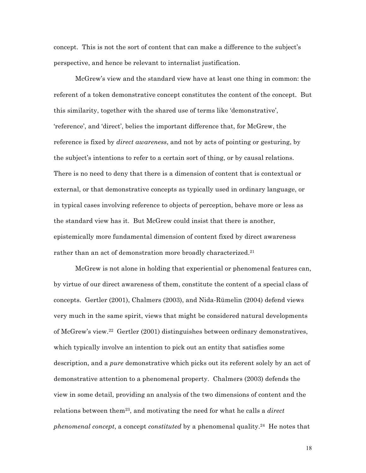concept. This is not the sort of content that can make a difference to the subject's perspective, and hence be relevant to internalist justification.

McGrew's view and the standard view have at least one thing in common: the referent of a token demonstrative concept constitutes the content of the concept. But this similarity, together with the shared use of terms like 'demonstrative', 'reference', and 'direct', belies the important difference that, for McGrew, the reference is fixed by *direct awareness*, and not by acts of pointing or gesturing, by the subject's intentions to refer to a certain sort of thing, or by causal relations. There is no need to deny that there is a dimension of content that is contextual or external, or that demonstrative concepts as typically used in ordinary language, or in typical cases involving reference to objects of perception, behave more or less as the standard view has it. But McGrew could insist that there is another, epistemically more fundamental dimension of content fixed by direct awareness rather than an act of demonstration more broadly characterized.<sup>21</sup>

McGrew is not alone in holding that experiential or phenomenal features can, by virtue of our direct awareness of them, constitute the content of a special class of concepts. Gertler (2001), Chalmers (2003), and Nida-Rümelin (2004) defend views very much in the same spirit, views that might be considered natural developments of McGrew's view.22 Gertler (2001) distinguishes between ordinary demonstratives, which typically involve an intention to pick out an entity that satisfies some description, and a *pure* demonstrative which picks out its referent solely by an act of demonstrative attention to a phenomenal property. Chalmers (2003) defends the view in some detail, providing an analysis of the two dimensions of content and the relations between them23, and motivating the need for what he calls a *direct phenomenal concept*, a concept *constituted* by a phenomenal quality.24 He notes that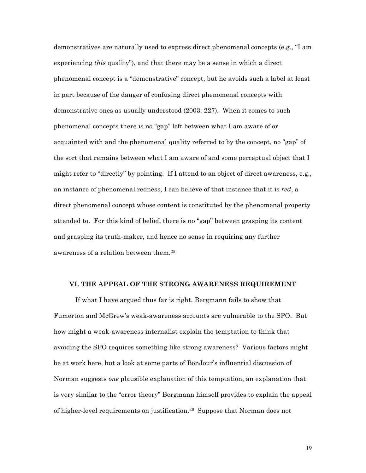demonstratives are naturally used to express direct phenomenal concepts (e.g., "I am experiencing *this* quality"), and that there may be a sense in which a direct phenomenal concept is a "demonstrative" concept, but he avoids such a label at least in part because of the danger of confusing direct phenomenal concepts with demonstrative ones as usually understood (2003: 227). When it comes to such phenomenal concepts there is no "gap" left between what I am aware of or acquainted with and the phenomenal quality referred to by the concept, no "gap" of the sort that remains between what I am aware of and some perceptual object that I might refer to "directly" by pointing. If I attend to an object of direct awareness, e.g., an instance of phenomenal redness, I can believe of that instance that it is *red*, a direct phenomenal concept whose content is constituted by the phenomenal property attended to. For this kind of belief, there is no "gap" between grasping its content and grasping its truth-maker, and hence no sense in requiring any further awareness of a relation between them.25

### **VI. THE APPEAL OF THE STRONG AWARENESS REQUIREMENT**

If what I have argued thus far is right, Bergmann fails to show that Fumerton and McGrew's weak-awareness accounts are vulnerable to the SPO. But how might a weak-awareness internalist explain the temptation to think that avoiding the SPO requires something like strong awareness? Various factors might be at work here, but a look at some parts of BonJour's influential discussion of Norman suggests *one* plausible explanation of this temptation, an explanation that is very similar to the "error theory" Bergmann himself provides to explain the appeal of higher-level requirements on justification.26 Suppose that Norman does not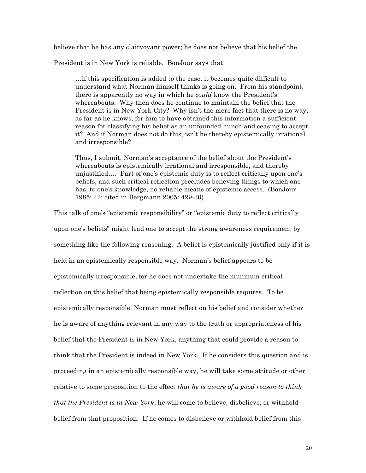believe that he has any clairvoyant power; he does not believe that his belief the

President is in New York is reliable. BonJour says that

…if this specification is added to the case, it becomes quite difficult to understand what Norman himself thinks is going on. From his standpoint, there is apparently no way in which he *could* know the President's whereabouts. Why then does he continue to maintain the belief that the President is in New York City? Why isn't the mere fact that there is no way, as far as he knows, for him to have obtained this information a sufficient reason for classifying his belief as an unfounded hunch and ceasing to accept it? And if Norman does not do this, isn't he thereby epistemically irrational and irresponsible?

Thus, I submit, Norman's acceptance of the belief about the President's whereabouts is epistemically irrational and irresponsible, and thereby unjustified…. Part of one's epistemic duty is to reflect critically upon one's beliefs, and such critical reflection precludes believing things to which one has, to one's knowledge, no reliable means of epistemic access. (BonJour 1985: 42; cited in Bergmann 2005: 429-30)

This talk of one's "epistemic responsibility" or "epistemic duty to reflect critically upon one's beliefs" might lead one to accept the strong awareness requirement by something like the following reasoning. A belief is epistemically justified only if it is held in an epistemically responsible way. Norman's belief appears to be epistemically irresponsible, for he does not undertake the minimum critical reflection on this belief that being epistemically responsible requires. To be epistemically responsible, Norman must reflect on his belief and consider whether he is aware of anything relevant in any way to the truth or appropriateness of his belief that the President is in New York, anything that could provide a reason to think that the President is indeed in New York. If he considers this question and is proceeding in an epistemically responsible way, he will take some attitude or other relative to some proposition to the effect *that he is aware of a good reason to think that the President is in New York*; he will come to believe, disbelieve, or withhold belief from that proposition. If he comes to disbelieve or withhold belief from this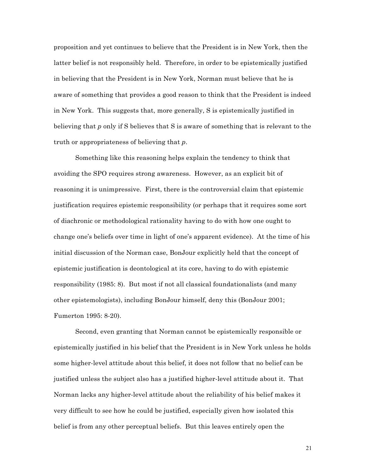proposition and yet continues to believe that the President is in New York, then the latter belief is not responsibly held. Therefore, in order to be epistemically justified in believing that the President is in New York, Norman must believe that he is aware of something that provides a good reason to think that the President is indeed in New York. This suggests that, more generally, S is epistemically justified in believing that *p* only if S believes that S is aware of something that is relevant to the truth or appropriateness of believing that *p*.

Something like this reasoning helps explain the tendency to think that avoiding the SPO requires strong awareness. However, as an explicit bit of reasoning it is unimpressive. First, there is the controversial claim that epistemic justification requires epistemic responsibility (or perhaps that it requires some sort of diachronic or methodological rationality having to do with how one ought to change one's beliefs over time in light of one's apparent evidence). At the time of his initial discussion of the Norman case, BonJour explicitly held that the concept of epistemic justification is deontological at its core, having to do with epistemic responsibility (1985: 8). But most if not all classical foundationalists (and many other epistemologists), including BonJour himself, deny this (BonJour 2001; Fumerton 1995: 8-20).

Second, even granting that Norman cannot be epistemically responsible or epistemically justified in his belief that the President is in New York unless he holds some higher-level attitude about this belief, it does not follow that no belief can be justified unless the subject also has a justified higher-level attitude about it. That Norman lacks any higher-level attitude about the reliability of his belief makes it very difficult to see how he could be justified, especially given how isolated this belief is from any other perceptual beliefs. But this leaves entirely open the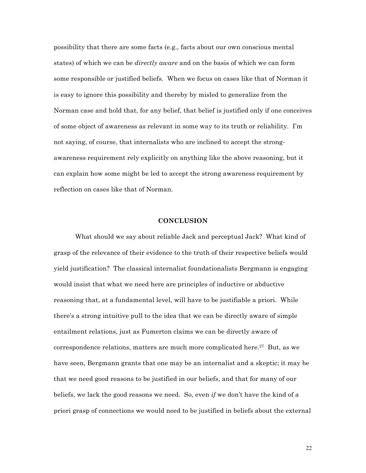possibility that there are some facts (e.g., facts about our own conscious mental states) of which we can be *directly aware* and on the basis of which we can form some responsible or justified beliefs. When we focus on cases like that of Norman it is easy to ignore this possibility and thereby by misled to generalize from the Norman case and hold that, for any belief, that belief is justified only if one conceives of some object of awareness as relevant in some way to its truth or reliability. I'm not saying, of course, that internalists who are inclined to accept the strongawareness requirement rely explicitly on anything like the above reasoning, but it can explain how some might be led to accept the strong awareness requirement by reflection on cases like that of Norman.

## **CONCLUSION**

What should we say about reliable Jack and perceptual Jack? What kind of grasp of the relevance of their evidence to the truth of their respective beliefs would yield justification? The classical internalist foundationalists Bergmann is engaging would insist that what we need here are principles of inductive or abductive reasoning that, at a fundamental level, will have to be justifiable a priori. While there's a strong intuitive pull to the idea that we can be directly aware of simple entailment relations, just as Fumerton claims we can be directly aware of correspondence relations, matters are much more complicated here.<sup>27</sup> But, as we have seen, Bergmann grants that one may be an internalist and a skeptic; it may be that we need good reasons to be justified in our beliefs, and that for many of our beliefs, we lack the good reasons we need. So, even *if* we don't have the kind of a priori grasp of connections we would need to be justified in beliefs about the external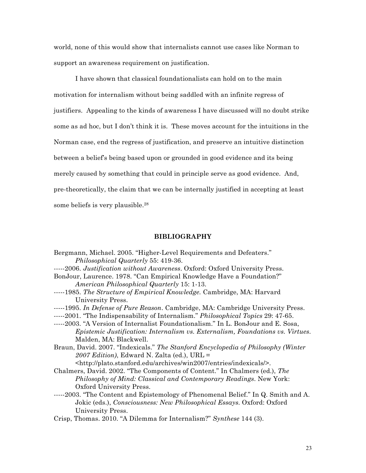world, none of this would show that internalists cannot use cases like Norman to support an awareness requirement on justification.

I have shown that classical foundationalists can hold on to the main motivation for internalism without being saddled with an infinite regress of justifiers. Appealing to the kinds of awareness I have discussed will no doubt strike some as ad hoc, but I don't think it is. These moves account for the intuitions in the Norman case, end the regress of justification, and preserve an intuitive distinction between a belief's being based upon or grounded in good evidence and its being merely caused by something that could in principle serve as good evidence. And, pre-theoretically, the claim that we can be internally justified in accepting at least some beliefs is very plausible.28

### **BIBLIOGRAPHY**

- Bergmann, Michael. 2005. "Higher-Level Requirements and Defeaters." *Philosophical Quarterly* 55: 419-36. -----2006. *Justification without Awareness*. Oxford: Oxford University Press. BonJour, Laurence. 1978. "Can Empirical Knowledge Have a Foundation?" *American Philosophical Quarterly* 15: 1-13. -----1985. *The Structure of Empirical Knowledge.* Cambridge, MA: Harvard University Press. -----1995. *In Defense of Pure Reason*. Cambridge, MA: Cambridge University Press. -----2001. "The Indispensability of Internalism." *Philosophical Topics* 29: 47-65. -----2003. "A Version of Internalist Foundationalism." In L. BonJour and E. Sosa, *Epistemic Justification: Internalism vs. Externalism, Foundations vs. Virtues*. Malden, MA: Blackwell. Braun, David. 2007. "Indexicals." *The Stanford Encyclopedia of Philosophy (Winter 2007 Edition)*, Edward N. Zalta (ed.), URL = <http://plato.stanford.edu/archives/win2007/entries/indexicals/>. Chalmers, David. 2002. "The Components of Content." In Chalmers (ed.), *The Philosophy of Mind: Classical and Contemporary Readings*. New York: Oxford University Press. -----2003. "The Content and Epistemology of Phenomenal Belief." In Q. Smith and A. Jokic (eds.), *Consciousness: New Philosophical Essays.* Oxford: Oxford University Press.
- Crisp, Thomas. 2010. "A Dilemma for Internalism?" *Synthese* 144 (3).
- 23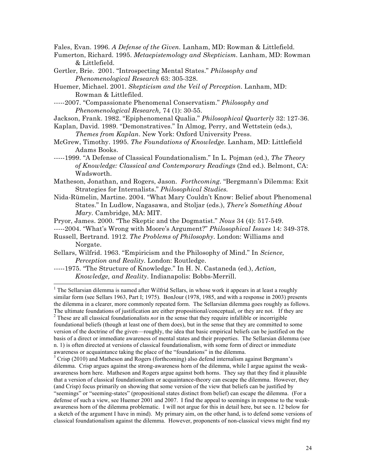Fales, Evan. 1996. *A Defense of the Given.* Lanham, MD: Rowman & Littlefield.

- Fumerton, Richard. 1995. *Metaepistemology and Skepticism.* Lanham, MD: Rowman & Littlefield.
- Gertler, Brie. 2001. "Introspecting Mental States." *Philosophy and Phenomenological Research* 63: 305-328.
- Huemer, Michael. 2001. *Skepticism and the Veil of Perception*. Lanham, MD: Rowman & Littlefiled.
- -----2007. "Compassionate Phenomenal Conservatism." *Philosophy and Phenomenological Research,* 74 (1): 30-55.
- Jackson, Frank. 1982. "Epiphenomenal Qualia." *Philosophical Quarterly* 32: 127-36.
- Kaplan, David. 1989. "Demonstratives." In Almog, Perry, and Wettstein (eds.), *Themes from Kaplan*. New York: Oxford University Press.
- McGrew, Timothy. 1995. *The Foundations of Knowledge.* Lanham, MD: Littlefield Adams Books.
- -----1999. "A Defense of Classical Foundationalism." In L. Pojman (ed.), *The Theory of Knowledge: Classical and Contemporary Readings* (2nd ed.). Belmont, CA: Wadsworth.
- Matheson, Jonathan, and Rogers, Jason. *Forthcoming*. "Bergmann's Dilemma: Exit Strategies for Internalists." *Philosophical Studies.*
- Nida-Rümelin, Martine. 2004. "What Mary Couldn't Know: Belief about Phenomenal States." In Ludlow, Nagasawa, and Stoljar (eds.), *There's Something About Mary*. Cambridge, MA: MIT.

Pryor, James. 2000. "The Skeptic and the Dogmatist." *Nous* 34 (4): 517-549.

- -----2004. "What's Wrong with Moore's Argument?" *Philosophical Issues* 14: 349-378.
- Russell, Bertrand. 1912. *The Problems of Philosophy*. London: Williams and Norgate.
- Sellars, Wilfrid. 1963. "Empiricism and the Philosophy of Mind." In *Science, Perception and Reality.* London: Routledge.
- -----1975. "The Structure of Knowledge." In H. N. Castaneda (ed.), *Action, Knowledge, and Reality*. Indianapolis: Bobbs-Merrill.

<sup>&</sup>lt;sup>1</sup> The Sellarsian dilemma is named after Wilfrid Sellars, in whose work it appears in at least a roughly similar form (see Sellars 1963, Part I; 1975). BonJour (1978, 1985, and with a response in 2003) presents the dilemma in a clearer, more commonly repeated form. The Sellarsian dilemma goes roughly as follows. The ultimate foundations of justification are either propositional/conceptual, or they are not. If they are <sup>2</sup> These are all classical foundationalists *not* in the sense that they require infallible or incorrigible foundational beliefs (though at least one of them does), but in the sense that they are committed to some version of the doctrine of the given—roughly, the idea that basic empirical beliefs can be justified on the basis of a direct or immediate awareness of mental states and their properties. The Sellarsian dilemma (see n. 1) is often directed at versions of classical foundationalism, with some form of direct or immediate awareness or acquaintance taking the place of the "foundations" in the dilemma.<br> $3 \text{ Crisp} (2010)$  and Matheson and Rogers (forthcoming) also defend internalism against Bergmann's

dilemma. Crisp argues against the strong-awareness horn of the dilemma, while I argue against the weakawareness horn here. Matheson and Rogers argue against both horns. They say that they find it plausible that a version of classical foundationalism or acquaintance-theory can escape the dilemma. However, they (and Crisp) focus primarily on showing that some version of the view that beliefs can be justified by "seemings" or "seeming-states" (propositional states distinct from belief) can escape the dilemma. (For a defense of such a view, see Huemer 2001 and 2007. I find the appeal to seemings in response to the weakawareness horn of the dilemma problematic. I will not argue for this in detail here, but see n. 12 below for a sketch of the argument I have in mind). My primary aim, on the other hand, is to defend some versions of classical foundationalism against the dilemma. However, proponents of non-classical views might find my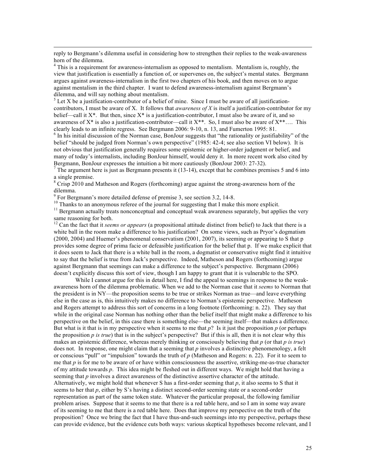reply to Bergmann's dilemma useful in considering how to strengthen their replies to the weak-awareness horn of the dilemma.

 $<sup>4</sup>$  This is a requirement for awareness-internalism as opposed to mentalism. Mentalism is, roughly, the</sup> view that justification is essentially a function of, or supervenes on, the subject's mental states. Bergmann argues against awareness-internalism in the first two chapters of his book, and then moves on to argue against mentalism in the third chapter. I want to defend awareness-internalism against Bergmann's dilemma, and will say nothing about mentalism.

 $<sup>5</sup>$  Let X be a justification-contributor of a belief of mine. Since I must be aware of all justification-</sup> contributors, I must be aware of X. It follows that *awareness of X* is itself a justification-contributor for my belief—call it  $X^*$ . But then, since  $X^*$  is a justification-contributor, I must also be aware of it, and so awareness of  $X^*$  is also a justification-contributor—call it  $X^{**}$ . So, I must also be aware of  $X^{**}$ …. This clearly leads to an infinite regress. See Bergmann 2006: 9-10, n. 13, and Fumerton 1995: 81.

 $6$  In his initial discussion of the Norman case, BonJour suggests that "the rationality or justifiability" of the belief "should be judged from Norman's own perspective" (1985: 42-4; see also section VI below). It is not obvious that justification generally requires some epistemic or higher-order judgment or belief, and many of today's internalists, including BonJour himself, would deny it. In more recent work also cited by Bergmann, BonJour expresses the intuition a bit more cautiously (BonJour 2003: 27-32).<br><sup>7</sup> The argument here is just as Bergmann presents it (13-14), except that he combines premises 5 and 6 into

a single premise.

<sup>8</sup> Crisp 2010 and Matheson and Rogers (forthcoming) argue against the strong-awareness horn of the dilemma.<br><sup>9</sup> For Bergmann's more detailed defense of premise 3, see section 3.2, 14-8.

 $\overline{a}$ 

<sup>10</sup> Thanks to an anonymous referee of the journal for suggesting that I make this more explicit.<br><sup>11</sup> Bergmann actually treats nonconceptual and conceptual weak awareness separately, but applies the very same reasoning for both.

<sup>12</sup> Can the fact that it *seems or appears* (a propositional attitude distinct from belief) to Jack that there is a white ball in the room make a difference to his justification? On some views, such as Pryor's dogmatism (2000, 2004) and Huemer's phenomenal conservatism (2001, 2007), its seeming or appearing to S that p provides some degree of prima facie or defeasible justification for the belief that p. If we make explicit that it does seem to Jack that there is a white ball in the room, a dogmatist or conservative might find it intuitive to say that the belief is true from Jack's perspective. Indeed, Matheson and Rogers (forthcoming) argue against Bergmann that seemings can make a difference to the subject's perspective. Bergmann (2006) doesn't explicitly discuss this sort of view, though I am happy to grant that it is vulnerable to the SPO.

While I cannot argue for this in detail here, I find the appeal to seemings in response to the weakawareness horn of the dilemma problematic. When we add to the Norman case that it *seems* to Norman that the president is in NY—the proposition seems to be true or strikes Norman as true—and leave everything else in the case as is, this intuitively makes no difference to Norman's epistemic perspective. Matheson and Rogers attempt to address this sort of concerns in a long footnote (forthcoming: n. 22). They say that while in the original case Norman has nothing other than the belief itself that might make a difference to his perspective on the belief, in this case there is something else—the seeming itself—that makes a difference. But what is it that is in my perspective when it seems to me that *p*? Is it just the proposition *p* (or perhaps the proposition  $p$  is true) that is in the subject's perspective? But if this is all, then it is not clear why this makes an epistemic difference, whereas merely thinking or consciously believing that *p* (or that *p is true*) does not. In response, one might claim that a seeming that *p* involves a distinctive phenomenology, a felt or conscious "pull" or "impulsion" towards the truth of *p* (Matheson and Rogers: n. 22). For it to seem to me that *p* is for me to be aware of or have within consciousness the assertive, striking-me-as-true character of my attitude towards *p*. This idea might be fleshed out in different ways. We might hold that having a seeming that *p* involves a direct awareness of the distinctive assertive character of the attitude. Alternatively, we might hold that whenever S has a first-order seeming that *p*, it also seems to S that it seems to her that *p*, either by S's having a distinct second-order seeming state or a second-order representation as part of the same token state. Whatever the particular proposal, the following familiar problem arises. Suppose that it seems to me that there is a red table here, and so I am in some way aware of its seeming to me that there is a red table here. Does that improve my perspective on the truth of the proposition? Once we bring the fact that I have thus-and-such seemings into my perspective, perhaps these can provide evidence, but the evidence cuts both ways: various skeptical hypotheses become relevant, and I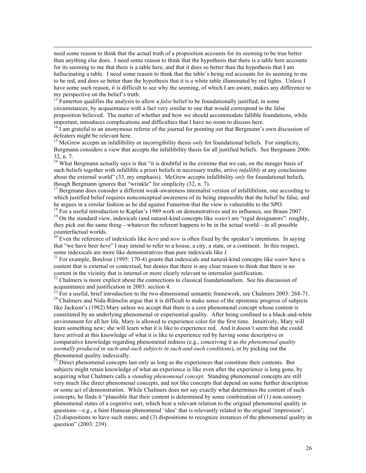need some reason to think that the actual truth of a proposition accounts for its seeming to be true better than anything else does. I need some reason to think that the hypothesis that there is a table here accounts for its seeming to me that there is a table here, and that it does so better than the hypothesis that I am hallucinating a table. I need some reason to think that the table's being red accounts for its seeming to me to be red, and does so better than the hypothesis that it is a white table illuminated by red lights. Unless I have some such reason, it is difficult to see why the seeming, of which I am aware, makes any difference to my perspective on the belief's truth.<br><sup>13</sup> Fumerton qualifies the analysis to allow a *false* belief to be foundationally justified, in some

 $\overline{a}$ 

circumstances, by acquaintance with a fact very similar to one that would correspond to the false proposition believed. The matter of whether and how we should accommodate fallible foundations, while important, introduces complications and difficulties that I have no room to discuss here.

 $14$  I am grateful to an anonymous referee of the journal for pointing out that Bergmann's own discussion of defeaters might be relevant here.

<sup>15</sup> McGrew accepts an infallibility or incorrigibility thesis *only* for foundational beliefs. For simplicity, Bergmann considers a view that accepts the infallibility thesis for all justified beliefs. See Bergmann 2006:

32, n. 7.  $\frac{16}{16}$  What Bergmann actually says is that "it is doubtful in the extreme that we can, on the meager basis of such beliefs together with infallible a priori beliefs in necessary truths, arrive *infallibly* at any conclusions about the external world" (33, my emphasis). McGrew accepts infallibility *only* for foundational beliefs, though Bergmann ignores that "wrinkle" for simplicity (32, n. 7).

<sup>17</sup> Bergmann does consider a different weak-awareness internalist version of infallibilism, one according to which justified belief requires nonconceptual awareness of its being impossible that the belief be false, and he argues in a similar fashion as he did against Fumerton that the view is vulnerable to the SPO.<br><sup>18</sup> For a useful introduction to Kaplan's 1989 work on demonstratives and its influence, see Braun 2007.

<sup>19</sup> On the standard view, indexicals (and natural-kind concepts like *water*) are "rigid designators": roughly, they pick out the same thing—whatever the referent happens to be in the actual world—in all possible counterfactual worlds.

<sup>20</sup> Even the reference of indexicals like *here* and *now* is often fixed by the speaker's intentions. In saying that "we have beer *here*" I may intend to refer to a house, a city, a state, or a continent. In this respect,

some indexicals are more like demonstratives than pure indexicals like *I*. <sup>21</sup> For example, BonJour (1995: 170-4) grants that indexicals and natural-kind concepts like *water* have a content that is external or contextual, but denies that there is any clear reason to think that there is no content in the vicinity that is internal or more clearly relevant to internalist justification.

 $22$  Chalmers is more explicit about the connections to classical foundationalism. See his discussion of

acquaintance and justification in 2003: section 4.<br><sup>23</sup> For a useful, brief introduction to the two-dimensional semantic framework, see Chalmers 2003: 268-71.<br><sup>24</sup> Chalmers and Nida-Rümelin argue that it is difficult to m like Jackson's (1982) Mary unless we accept that there is a core phenomenal concept whose content is constituted by an underlying phenomenal or experiential quality. After being confined to a black-and-white environment for all her life, Mary is allowed to experience color for the first time. Intuitively, Mary will learn something new; she will learn what it is like to experience red. And it doesn't seem that she could have arrived at this knowledge of what it is like to experience red by having some descriptive or comparative knowledge regarding phenomenal redness (e.g., conceiving it as *the phenomenal quality normally produced in such-and-such subjects in such-and-such conditions*), or by picking out the phenomenal quality indexically.

<sup>25</sup> Direct phenomenal concepts last only as long as the experiences that constitute their contents. But subjects might retain knowledge of what an experience is like even after the experience is long gone, by acquiring what Chalmers calls a *standing phenomenal concept*. Standing phenomenal concepts are still very much like direct phenomenal concepts, and not like concepts that depend on some further description or some act of demonstration. While Chalmers does not say exactly what determines the content of such concepts, he finds it "plausible that their content is determined by some combination of (1) non-sensory phenomenal states of a cognitive sort, which bear a relevant relation to the original phenomenal quality in questions—e.g., a faint Humean phenomenal 'idea' that is relevantly related to the original 'impression'; (2) dispositions to have such states; and (3) dispositions to recognize instances of the phenomenal quality in question" (2003: 239).